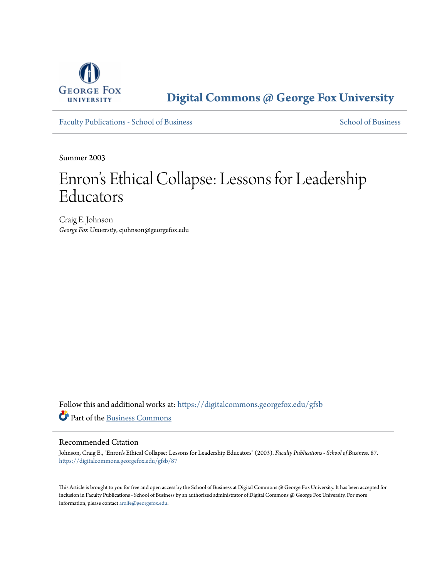

**[Digital Commons @ George Fox University](https://digitalcommons.georgefox.edu?utm_source=digitalcommons.georgefox.edu%2Fgfsb%2F87&utm_medium=PDF&utm_campaign=PDFCoverPages)**

[Faculty Publications - School of Business](https://digitalcommons.georgefox.edu/gfsb?utm_source=digitalcommons.georgefox.edu%2Fgfsb%2F87&utm_medium=PDF&utm_campaign=PDFCoverPages) [School of Business](https://digitalcommons.georgefox.edu/business?utm_source=digitalcommons.georgefox.edu%2Fgfsb%2F87&utm_medium=PDF&utm_campaign=PDFCoverPages) School of Business

Summer 2003

# Enron 's Ethical Collapse: Lessons for Leadership Educators

Craig E. Johnson *George Fox University*, cjohnson@georgefox.edu

Follow this and additional works at: [https://digitalcommons.georgefox.edu/gfsb](https://digitalcommons.georgefox.edu/gfsb?utm_source=digitalcommons.georgefox.edu%2Fgfsb%2F87&utm_medium=PDF&utm_campaign=PDFCoverPages) Part of the [Business Commons](http://network.bepress.com/hgg/discipline/622?utm_source=digitalcommons.georgefox.edu%2Fgfsb%2F87&utm_medium=PDF&utm_campaign=PDFCoverPages)

#### Recommended Citation

Johnson, Craig E., "Enron's Ethical Collapse: Lessons for Leadership Educators" (2003). *Faculty Publications - School of Business*. 87. [https://digitalcommons.georgefox.edu/gfsb/87](https://digitalcommons.georgefox.edu/gfsb/87?utm_source=digitalcommons.georgefox.edu%2Fgfsb%2F87&utm_medium=PDF&utm_campaign=PDFCoverPages)

This Article is brought to you for free and open access by the School of Business at Digital Commons @ George Fox University. It has been accepted for inclusion in Faculty Publications - School of Business by an authorized administrator of Digital Commons @ George Fox University. For more information, please contact [arolfe@georgefox.edu](mailto:arolfe@georgefox.edu).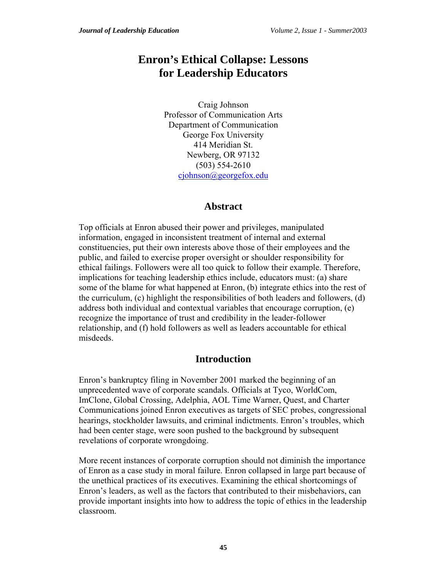# **Enron's Ethical Collapse: Lessons for Leadership Educators**

Craig Johnson Professor of Communication Arts Department of Communication George Fox University 414 Meridian St. Newberg, OR 97132 (503) 554-2610 [cjohnson@georgefox.edu](mailto:cjohnson@georgefox.edu)

# **Abstract**

Top officials at Enron abused their power and privileges, manipulated information, engaged in inconsistent treatment of internal and external constituencies, put their own interests above those of their employees and the public, and failed to exercise proper oversight or shoulder responsibility for ethical failings. Followers were all too quick to follow their example. Therefore, implications for teaching leadership ethics include, educators must: (a) share some of the blame for what happened at Enron, (b) integrate ethics into the rest of the curriculum, (c) highlight the responsibilities of both leaders and followers, (d) address both individual and contextual variables that encourage corruption, (e) recognize the importance of trust and credibility in the leader-follower relationship, and (f) hold followers as well as leaders accountable for ethical misdeeds.

# **Introduction**

Enron's bankruptcy filing in November 2001 marked the beginning of an unprecedented wave of corporate scandals. Officials at Tyco, WorldCom, ImClone, Global Crossing, Adelphia, AOL Time Warner, Quest, and Charter Communications joined Enron executives as targets of SEC probes, congressional hearings, stockholder lawsuits, and criminal indictments. Enron's troubles, which had been center stage, were soon pushed to the background by subsequent revelations of corporate wrongdoing.

More recent instances of corporate corruption should not diminish the importance of Enron as a case study in moral failure. Enron collapsed in large part because of the unethical practices of its executives. Examining the ethical shortcomings of Enron's leaders, as well as the factors that contributed to their misbehaviors, can provide important insights into how to address the topic of ethics in the leadership classroom.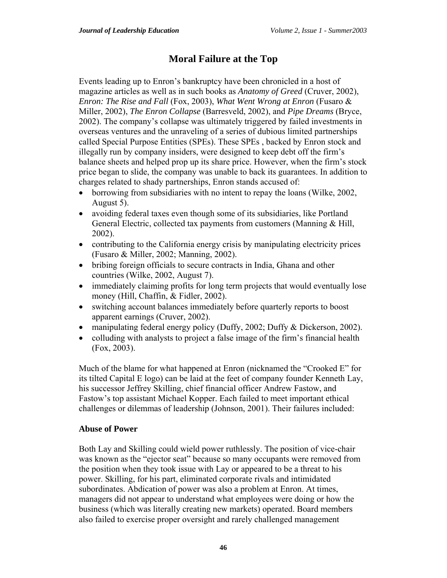# **Moral Failure at the Top**

Events leading up to Enron's bankruptcy have been chronicled in a host of magazine articles as well as in such books as *Anatomy of Greed* (Cruver, 2002), *Enron: The Rise and Fall* (Fox, 2003), *What Went Wrong at Enron* (Fusaro & Miller, 2002), *The Enron Collapse* (Barresveld, 2002), and *Pipe Dreams* (Bryce, 2002). The company's collapse was ultimately triggered by failed investments in overseas ventures and the unraveling of a series of dubious limited partnerships called Special Purpose Entities (SPEs). These SPEs , backed by Enron stock and illegally run by company insiders, were designed to keep debt off the firm's balance sheets and helped prop up its share price. However, when the firm's stock price began to slide, the company was unable to back its guarantees. In addition to charges related to shady partnerships, Enron stands accused of:

- borrowing from subsidiaries with no intent to repay the loans (Wilke, 2002, August 5).
- avoiding federal taxes even though some of its subsidiaries, like Portland General Electric, collected tax payments from customers (Manning & Hill, 2002).
- contributing to the California energy crisis by manipulating electricity prices (Fusaro & Miller, 2002; Manning, 2002).
- bribing foreign officials to secure contracts in India, Ghana and other countries (Wilke, 2002, August 7).
- immediately claiming profits for long term projects that would eventually lose money (Hill, Chaffin, & Fidler, 2002).
- switching account balances immediately before quarterly reports to boost apparent earnings (Cruver, 2002).
- manipulating federal energy policy (Duffy, 2002; Duffy & Dickerson, 2002).
- colluding with analysts to project a false image of the firm's financial health (Fox, 2003).

Much of the blame for what happened at Enron (nicknamed the "Crooked E" for its tilted Capital E logo) can be laid at the feet of company founder Kenneth Lay, his successor Jeffrey Skilling, chief financial officer Andrew Fastow, and Fastow's top assistant Michael Kopper. Each failed to meet important ethical challenges or dilemmas of leadership (Johnson, 2001). Their failures included:

#### **Abuse of Power**

Both Lay and Skilling could wield power ruthlessly. The position of vice-chair was known as the "ejector seat" because so many occupants were removed from the position when they took issue with Lay or appeared to be a threat to his power. Skilling, for his part, eliminated corporate rivals and intimidated subordinates. Abdication of power was also a problem at Enron. At times, managers did not appear to understand what employees were doing or how the business (which was literally creating new markets) operated. Board members also failed to exercise proper oversight and rarely challenged management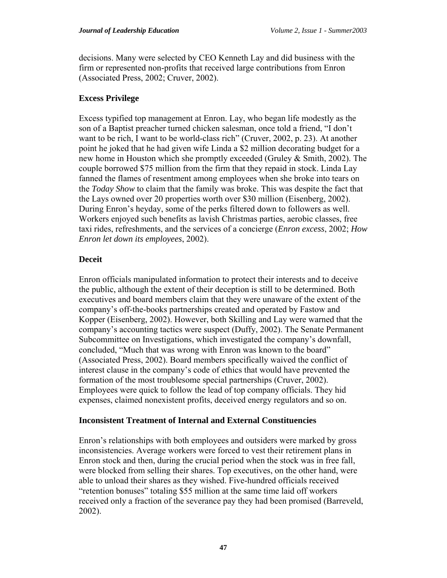decisions. Many were selected by CEO Kenneth Lay and did business with the firm or represented non-profits that received large contributions from Enron (Associated Press, 2002; Cruver, 2002).

#### **Excess Privilege**

Excess typified top management at Enron. Lay, who began life modestly as the son of a Baptist preacher turned chicken salesman, once told a friend, "I don't want to be rich, I want to be world-class rich" (Cruver, 2002, p. 23). At another point he joked that he had given wife Linda a \$2 million decorating budget for a new home in Houston which she promptly exceeded (Gruley & Smith, 2002). The couple borrowed \$75 million from the firm that they repaid in stock. Linda Lay fanned the flames of resentment among employees when she broke into tears on the *Today Show* to claim that the family was broke. This was despite the fact that the Lays owned over 20 properties worth over \$30 million (Eisenberg, 2002). During Enron's heyday, some of the perks filtered down to followers as well. Workers enjoyed such benefits as lavish Christmas parties, aerobic classes, free taxi rides, refreshments, and the services of a concierge (*Enron excess*, 2002; *How Enron let down its employees*, 2002).

#### **Deceit**

Enron officials manipulated information to protect their interests and to deceive the public, although the extent of their deception is still to be determined. Both executives and board members claim that they were unaware of the extent of the company's off-the-books partnerships created and operated by Fastow and Kopper (Eisenberg, 2002). However, both Skilling and Lay were warned that the company's accounting tactics were suspect (Duffy, 2002). The Senate Permanent Subcommittee on Investigations, which investigated the company's downfall, concluded, "Much that was wrong with Enron was known to the board" (Associated Press, 2002). Board members specifically waived the conflict of interest clause in the company's code of ethics that would have prevented the formation of the most troublesome special partnerships (Cruver, 2002). Employees were quick to follow the lead of top company officials. They hid expenses, claimed nonexistent profits, deceived energy regulators and so on.

#### **Inconsistent Treatment of Internal and External Constituencies**

Enron's relationships with both employees and outsiders were marked by gross inconsistencies. Average workers were forced to vest their retirement plans in Enron stock and then, during the crucial period when the stock was in free fall, were blocked from selling their shares. Top executives, on the other hand, were able to unload their shares as they wished. Five-hundred officials received "retention bonuses" totaling \$55 million at the same time laid off workers received only a fraction of the severance pay they had been promised (Barreveld, 2002).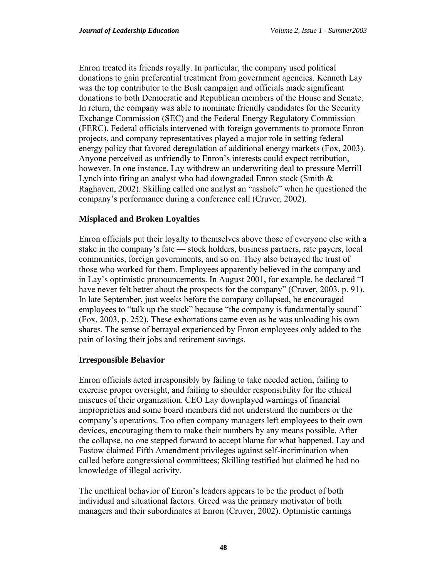Enron treated its friends royally. In particular, the company used political donations to gain preferential treatment from government agencies. Kenneth Lay was the top contributor to the Bush campaign and officials made significant donations to both Democratic and Republican members of the House and Senate. In return, the company was able to nominate friendly candidates for the Security Exchange Commission (SEC) and the Federal Energy Regulatory Commission (FERC). Federal officials intervened with foreign governments to promote Enron projects, and company representatives played a major role in setting federal energy policy that favored deregulation of additional energy markets (Fox, 2003). Anyone perceived as unfriendly to Enron's interests could expect retribution, however. In one instance, Lay withdrew an underwriting deal to pressure Merrill Lynch into firing an analyst who had downgraded Enron stock (Smith  $\&$ Raghaven, 2002). Skilling called one analyst an "asshole" when he questioned the company's performance during a conference call (Cruver, 2002).

#### **Misplaced and Broken Loyalties**

Enron officials put their loyalty to themselves above those of everyone else with a stake in the company's fate — stock holders, business partners, rate payers, local communities, foreign governments, and so on. They also betrayed the trust of those who worked for them. Employees apparently believed in the company and in Lay's optimistic pronouncements. In August 2001, for example, he declared "I have never felt better about the prospects for the company" (Cruver, 2003, p. 91). In late September, just weeks before the company collapsed, he encouraged employees to "talk up the stock" because "the company is fundamentally sound" (Fox, 2003, p. 252). These exhortations came even as he was unloading his own shares. The sense of betrayal experienced by Enron employees only added to the pain of losing their jobs and retirement savings.

#### **Irresponsible Behavior**

Enron officials acted irresponsibly by failing to take needed action, failing to exercise proper oversight, and failing to shoulder responsibility for the ethical miscues of their organization. CEO Lay downplayed warnings of financial improprieties and some board members did not understand the numbers or the company's operations. Too often company managers left employees to their own devices, encouraging them to make their numbers by any means possible. After the collapse, no one stepped forward to accept blame for what happened. Lay and Fastow claimed Fifth Amendment privileges against self-incrimination when called before congressional committees; Skilling testified but claimed he had no knowledge of illegal activity.

The unethical behavior of Enron's leaders appears to be the product of both individual and situational factors. Greed was the primary motivator of both managers and their subordinates at Enron (Cruver, 2002). Optimistic earnings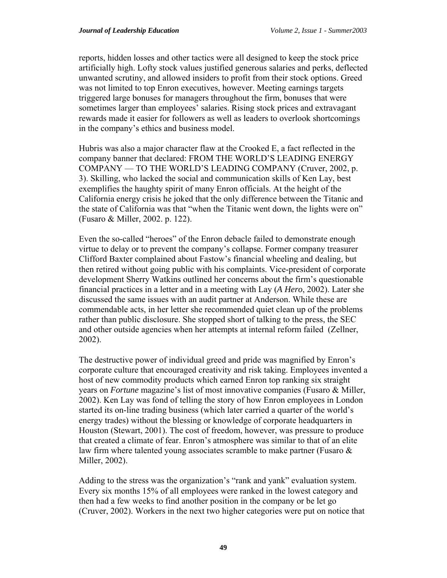reports, hidden losses and other tactics were all designed to keep the stock price artificially high. Lofty stock values justified generous salaries and perks, deflected unwanted scrutiny, and allowed insiders to profit from their stock options. Greed was not limited to top Enron executives, however. Meeting earnings targets triggered large bonuses for managers throughout the firm, bonuses that were sometimes larger than employees' salaries. Rising stock prices and extravagant rewards made it easier for followers as well as leaders to overlook shortcomings in the company's ethics and business model.

Hubris was also a major character flaw at the Crooked E, a fact reflected in the company banner that declared: FROM THE WORLD'S LEADING ENERGY COMPANY — TO THE WORLD'S LEADING COMPANY (Cruver, 2002, p. 3). Skilling, who lacked the social and communication skills of Ken Lay, best exemplifies the haughty spirit of many Enron officials. At the height of the California energy crisis he joked that the only difference between the Titanic and the state of California was that "when the Titanic went down, the lights were on" (Fusaro & Miller, 2002. p. 122).

Even the so-called "heroes" of the Enron debacle failed to demonstrate enough virtue to delay or to prevent the company's collapse. Former company treasurer Clifford Baxter complained about Fastow's financial wheeling and dealing, but then retired without going public with his complaints. Vice-president of corporate development Sherry Watkins outlined her concerns about the firm's questionable financial practices in a letter and in a meeting with Lay (*A Hero*, 2002). Later she discussed the same issues with an audit partner at Anderson. While these are commendable acts, in her letter she recommended quiet clean up of the problems rather than public disclosure. She stopped short of talking to the press, the SEC and other outside agencies when her attempts at internal reform failed (Zellner, 2002).

The destructive power of individual greed and pride was magnified by Enron's corporate culture that encouraged creativity and risk taking. Employees invented a host of new commodity products which earned Enron top ranking six straight years on *Fortune* magazine's list of most innovative companies (Fusaro & Miller, 2002). Ken Lay was fond of telling the story of how Enron employees in London started its on-line trading business (which later carried a quarter of the world's energy trades) without the blessing or knowledge of corporate headquarters in Houston (Stewart, 2001). The cost of freedom, however, was pressure to produce that created a climate of fear. Enron's atmosphere was similar to that of an elite law firm where talented young associates scramble to make partner (Fusaro & Miller, 2002).

Adding to the stress was the organization's "rank and yank" evaluation system. Every six months 15% of all employees were ranked in the lowest category and then had a few weeks to find another position in the company or be let go (Cruver, 2002). Workers in the next two higher categories were put on notice that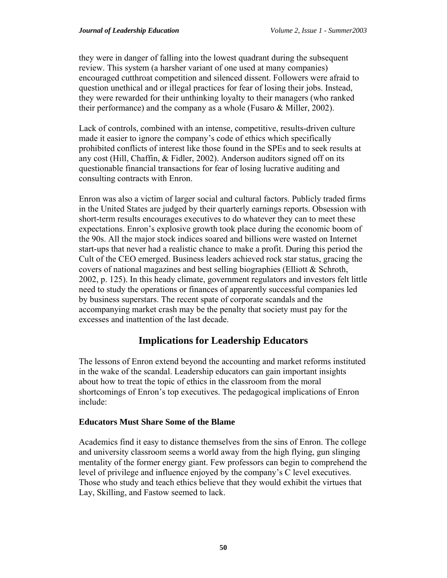they were in danger of falling into the lowest quadrant during the subsequent review. This system (a harsher variant of one used at many companies) encouraged cutthroat competition and silenced dissent. Followers were afraid to question unethical and or illegal practices for fear of losing their jobs. Instead, they were rewarded for their unthinking loyalty to their managers (who ranked their performance) and the company as a whole (Fusaro & Miller, 2002).

Lack of controls, combined with an intense, competitive, results-driven culture made it easier to ignore the company's code of ethics which specifically prohibited conflicts of interest like those found in the SPEs and to seek results at any cost (Hill, Chaffin, & Fidler, 2002). Anderson auditors signed off on its questionable financial transactions for fear of losing lucrative auditing and consulting contracts with Enron.

Enron was also a victim of larger social and cultural factors. Publicly traded firms in the United States are judged by their quarterly earnings reports. Obsession with short-term results encourages executives to do whatever they can to meet these expectations. Enron's explosive growth took place during the economic boom of the 90s. All the major stock indices soared and billions were wasted on Internet start-ups that never had a realistic chance to make a profit. During this period the Cult of the CEO emerged. Business leaders achieved rock star status, gracing the covers of national magazines and best selling biographies (Elliott & Schroth, 2002, p. 125). In this heady climate, government regulators and investors felt little need to study the operations or finances of apparently successful companies led by business superstars. The recent spate of corporate scandals and the accompanying market crash may be the penalty that society must pay for the excesses and inattention of the last decade.

# **Implications for Leadership Educators**

The lessons of Enron extend beyond the accounting and market reforms instituted in the wake of the scandal. Leadership educators can gain important insights about how to treat the topic of ethics in the classroom from the moral shortcomings of Enron's top executives. The pedagogical implications of Enron include:

#### **Educators Must Share Some of the Blame**

Academics find it easy to distance themselves from the sins of Enron. The college and university classroom seems a world away from the high flying, gun slinging mentality of the former energy giant. Few professors can begin to comprehend the level of privilege and influence enjoyed by the company's C level executives. Those who study and teach ethics believe that they would exhibit the virtues that Lay, Skilling, and Fastow seemed to lack.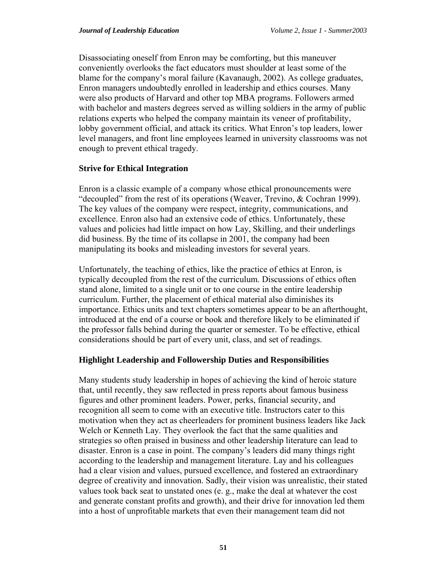Disassociating oneself from Enron may be comforting, but this maneuver conveniently overlooks the fact educators must shoulder at least some of the blame for the company's moral failure (Kavanaugh, 2002). As college graduates, Enron managers undoubtedly enrolled in leadership and ethics courses. Many were also products of Harvard and other top MBA programs. Followers armed with bachelor and masters degrees served as willing soldiers in the army of public relations experts who helped the company maintain its veneer of profitability, lobby government official, and attack its critics. What Enron's top leaders, lower level managers, and front line employees learned in university classrooms was not enough to prevent ethical tragedy.

#### **Strive for Ethical Integration**

Enron is a classic example of a company whose ethical pronouncements were "decoupled" from the rest of its operations (Weaver, Trevino, & Cochran 1999). The key values of the company were respect, integrity, communications, and excellence. Enron also had an extensive code of ethics. Unfortunately, these values and policies had little impact on how Lay, Skilling, and their underlings did business. By the time of its collapse in 2001, the company had been manipulating its books and misleading investors for several years.

Unfortunately, the teaching of ethics, like the practice of ethics at Enron, is typically decoupled from the rest of the curriculum. Discussions of ethics often stand alone, limited to a single unit or to one course in the entire leadership curriculum. Further, the placement of ethical material also diminishes its importance. Ethics units and text chapters sometimes appear to be an afterthought, introduced at the end of a course or book and therefore likely to be eliminated if the professor falls behind during the quarter or semester. To be effective, ethical considerations should be part of every unit, class, and set of readings.

#### **Highlight Leadership and Followership Duties and Responsibilities**

Many students study leadership in hopes of achieving the kind of heroic stature that, until recently, they saw reflected in press reports about famous business figures and other prominent leaders. Power, perks, financial security, and recognition all seem to come with an executive title. Instructors cater to this motivation when they act as cheerleaders for prominent business leaders like Jack Welch or Kenneth Lay. They overlook the fact that the same qualities and strategies so often praised in business and other leadership literature can lead to disaster. Enron is a case in point. The company's leaders did many things right according to the leadership and management literature. Lay and his colleagues had a clear vision and values, pursued excellence, and fostered an extraordinary degree of creativity and innovation. Sadly, their vision was unrealistic, their stated values took back seat to unstated ones (e. g., make the deal at whatever the cost and generate constant profits and growth), and their drive for innovation led them into a host of unprofitable markets that even their management team did not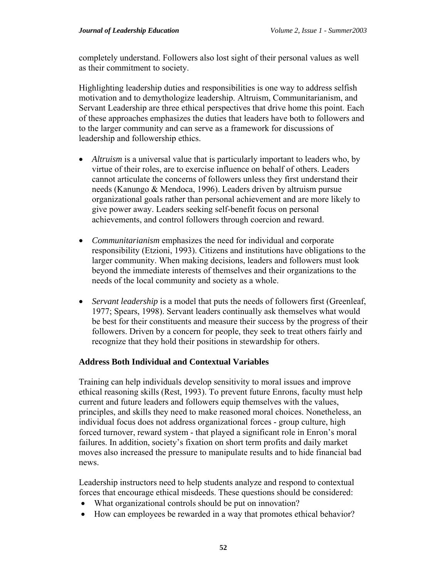completely understand. Followers also lost sight of their personal values as well as their commitment to society.

Highlighting leadership duties and responsibilities is one way to address selfish motivation and to demythologize leadership. Altruism, Communitarianism, and Servant Leadership are three ethical perspectives that drive home this point. Each of these approaches emphasizes the duties that leaders have both to followers and to the larger community and can serve as a framework for discussions of leadership and followership ethics.

- *Altruism* is a universal value that is particularly important to leaders who, by virtue of their roles, are to exercise influence on behalf of others. Leaders cannot articulate the concerns of followers unless they first understand their needs (Kanungo & Mendoca, 1996). Leaders driven by altruism pursue organizational goals rather than personal achievement and are more likely to give power away. Leaders seeking self-benefit focus on personal achievements, and control followers through coercion and reward.
- *Communitarianism* emphasizes the need for individual and corporate responsibility (Etzioni, 1993). Citizens and institutions have obligations to the larger community. When making decisions, leaders and followers must look beyond the immediate interests of themselves and their organizations to the needs of the local community and society as a whole.
- *Servant leadership* is a model that puts the needs of followers first (Greenleaf, 1977; Spears, 1998). Servant leaders continually ask themselves what would be best for their constituents and measure their success by the progress of their followers. Driven by a concern for people, they seek to treat others fairly and recognize that they hold their positions in stewardship for others.

#### **Address Both Individual and Contextual Variables**

Training can help individuals develop sensitivity to moral issues and improve ethical reasoning skills (Rest, 1993). To prevent future Enrons, faculty must help current and future leaders and followers equip themselves with the values, principles, and skills they need to make reasoned moral choices. Nonetheless, an individual focus does not address organizational forces - group culture, high forced turnover, reward system - that played a significant role in Enron's moral failures. In addition, society's fixation on short term profits and daily market moves also increased the pressure to manipulate results and to hide financial bad news.

Leadership instructors need to help students analyze and respond to contextual forces that encourage ethical misdeeds. These questions should be considered:

- What organizational controls should be put on innovation?
- How can employees be rewarded in a way that promotes ethical behavior?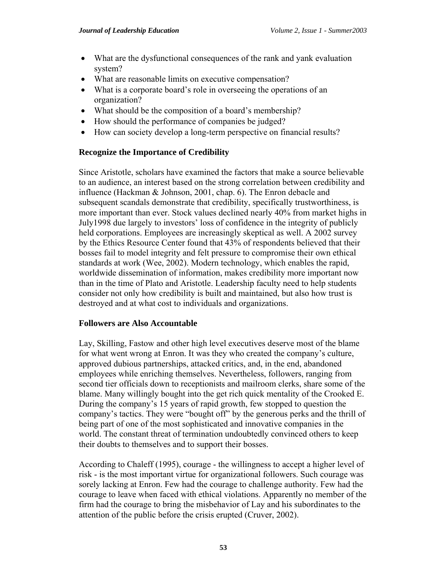- What are the dysfunctional consequences of the rank and yank evaluation system?
- What are reasonable limits on executive compensation?
- What is a corporate board's role in overseeing the operations of an organization?
- What should be the composition of a board's membership?
- How should the performance of companies be judged?
- How can society develop a long-term perspective on financial results?

#### **Recognize the Importance of Credibility**

Since Aristotle, scholars have examined the factors that make a source believable to an audience, an interest based on the strong correlation between credibility and influence (Hackman & Johnson, 2001, chap. 6). The Enron debacle and subsequent scandals demonstrate that credibility, specifically trustworthiness, is more important than ever. Stock values declined nearly 40% from market highs in July1998 due largely to investors' loss of confidence in the integrity of publicly held corporations. Employees are increasingly skeptical as well. A 2002 survey by the Ethics Resource Center found that 43% of respondents believed that their bosses fail to model integrity and felt pressure to compromise their own ethical standards at work (Wee, 2002). Modern technology, which enables the rapid, worldwide dissemination of information, makes credibility more important now than in the time of Plato and Aristotle. Leadership faculty need to help students consider not only how credibility is built and maintained, but also how trust is destroyed and at what cost to individuals and organizations.

#### **Followers are Also Accountable**

Lay, Skilling, Fastow and other high level executives deserve most of the blame for what went wrong at Enron. It was they who created the company's culture, approved dubious partnerships, attacked critics, and, in the end, abandoned employees while enriching themselves. Nevertheless, followers, ranging from second tier officials down to receptionists and mailroom clerks, share some of the blame. Many willingly bought into the get rich quick mentality of the Crooked E. During the company's 15 years of rapid growth, few stopped to question the company's tactics. They were "bought off" by the generous perks and the thrill of being part of one of the most sophisticated and innovative companies in the world. The constant threat of termination undoubtedly convinced others to keep their doubts to themselves and to support their bosses.

According to Chaleff (1995), courage - the willingness to accept a higher level of risk - is the most important virtue for organizational followers. Such courage was sorely lacking at Enron. Few had the courage to challenge authority. Few had the courage to leave when faced with ethical violations. Apparently no member of the firm had the courage to bring the misbehavior of Lay and his subordinates to the attention of the public before the crisis erupted (Cruver, 2002).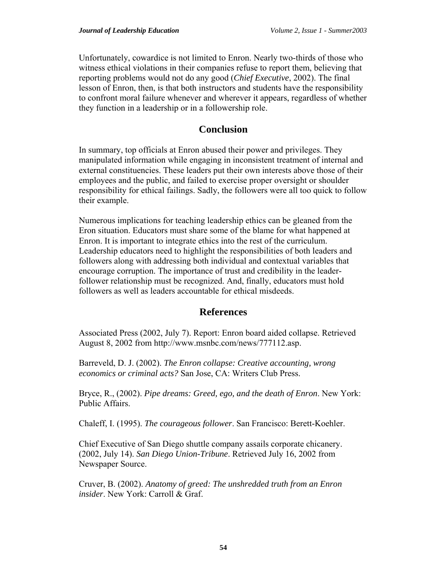Unfortunately, cowardice is not limited to Enron. Nearly two-thirds of those who witness ethical violations in their companies refuse to report them, believing that reporting problems would not do any good (*Chief Executive*, 2002). The final lesson of Enron, then, is that both instructors and students have the responsibility to confront moral failure whenever and wherever it appears, regardless of whether they function in a leadership or in a followership role.

### **Conclusion**

In summary, top officials at Enron abused their power and privileges. They manipulated information while engaging in inconsistent treatment of internal and external constituencies. These leaders put their own interests above those of their employees and the public, and failed to exercise proper oversight or shoulder responsibility for ethical failings. Sadly, the followers were all too quick to follow their example.

Numerous implications for teaching leadership ethics can be gleaned from the Eron situation. Educators must share some of the blame for what happened at Enron. It is important to integrate ethics into the rest of the curriculum. Leadership educators need to highlight the responsibilities of both leaders and followers along with addressing both individual and contextual variables that encourage corruption. The importance of trust and credibility in the leaderfollower relationship must be recognized. And, finally, educators must hold followers as well as leaders accountable for ethical misdeeds.

# **References**

Associated Press (2002, July 7). Report: Enron board aided collapse. Retrieved August 8, 2002 from http://www.msnbc.com/news/777112.asp.

Barreveld, D. J. (2002). *The Enron collapse: Creative accounting, wrong economics or criminal acts?* San Jose, CA: Writers Club Press.

Bryce, R., (2002). *Pipe dreams: Greed, ego, and the death of Enron*. New York: Public Affairs.

Chaleff, I. (1995). *The courageous follower*. San Francisco: Berett-Koehler.

Chief Executive of San Diego shuttle company assails corporate chicanery. (2002, July 14). *San Diego Union-Tribune*. Retrieved July 16, 2002 from Newspaper Source.

Cruver, B. (2002). *Anatomy of greed: The unshredded truth from an Enron insider*. New York: Carroll & Graf.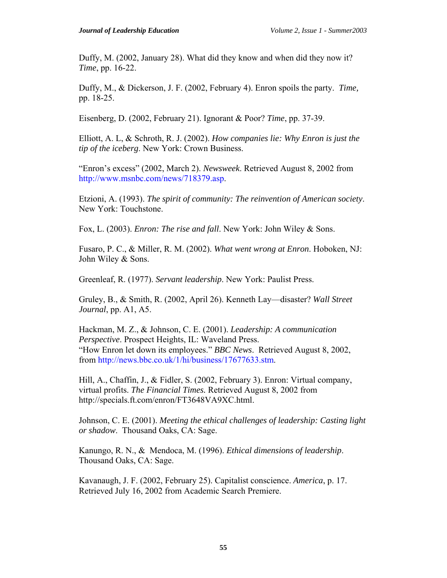Duffy, M. (2002, January 28). What did they know and when did they now it? *Time*, pp. 16-22.

Duffy, M., & Dickerson, J. F. (2002, February 4). Enron spoils the party. *Time,* pp. 18-25.

Eisenberg, D. (2002, February 21). Ignorant & Poor? *Time*, pp. 37-39.

Elliott, A. L, & Schroth, R. J. (2002). *How companies lie: Why Enron is just the tip of the iceberg*. New York: Crown Business.

"Enron's excess" (2002, March 2). *Newsweek*. Retrieved August 8, 2002 from <http://www.msnbc.com/news/718379.asp>.

Etzioni, A. (1993). *The spirit of community: The reinvention of American society*. New York: Touchstone.

Fox, L. (2003). *Enron: The rise and fall*. New York: John Wiley & Sons.

Fusaro, P. C., & Miller, R. M. (2002). *What went wrong at Enron*. Hoboken, NJ: John Wiley & Sons.

Greenleaf, R. (1977). *Servant leadership*. New York: Paulist Press.

Gruley, B., & Smith, R. (2002, April 26). Kenneth Lay—disaster? *Wall Street Journal*, pp. A1, A5.

Hackman, M. Z., & Johnson, C. E. (2001). *Leadership: A communication Perspective*. Prospect Heights, IL: Waveland Press. "How Enron let down its employees." *BBC News*. Retrieved August 8, 2002, from <http://news.bbc.co.uk/1/hi/business/17677633.stm>.

Hill, A., Chaffin, J., & Fidler, S. (2002, February 3). Enron: Virtual company, virtual profits. *The Financial Times.* Retrieved August 8, 2002 from http://specials.ft.com/enron/FT3648VA9XC.html.

Johnson, C. E. (2001). *Meeting the ethical challenges of leadership: Casting light or shadow*. Thousand Oaks, CA: Sage.

Kanungo, R. N., & Mendoca, M. (1996). *Ethical dimensions of leadership*. Thousand Oaks, CA: Sage.

Kavanaugh, J. F. (2002, February 25). Capitalist conscience. *America*, p. 17. Retrieved July 16, 2002 from Academic Search Premiere.